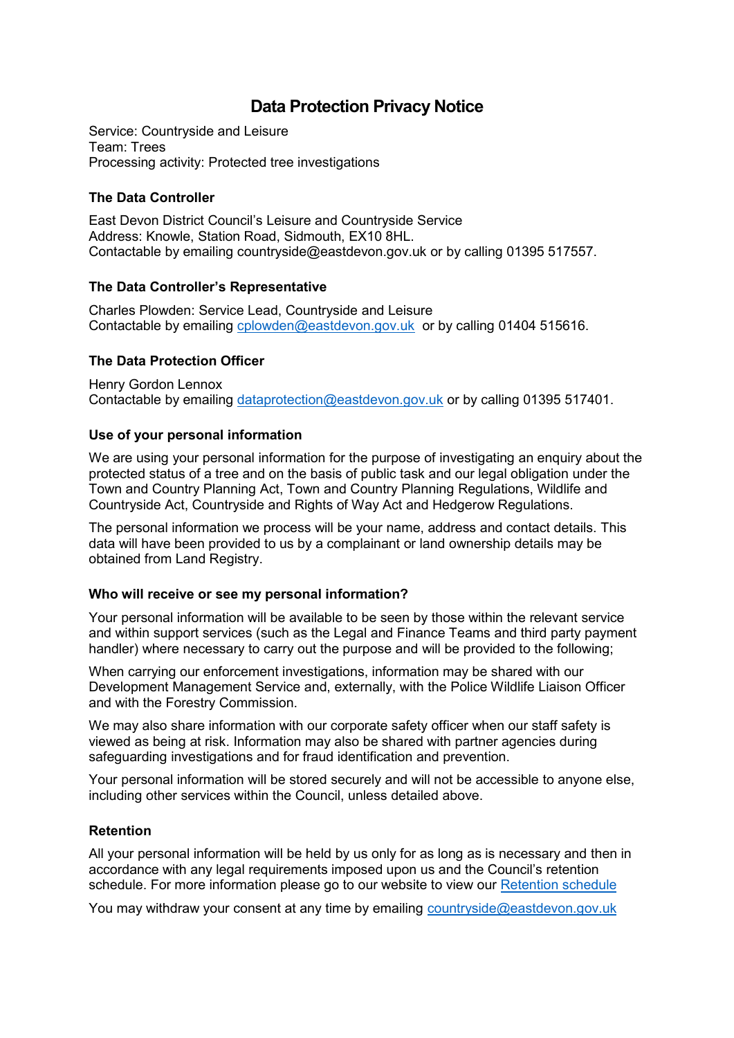# **Data Protection Privacy Notice**

Service: Countryside and Leisure Team: Trees Processing activity: Protected tree investigations

# **The Data Controller**

East Devon District Council's Leisure and Countryside Service Address: Knowle, Station Road, Sidmouth, EX10 8HL. Contactable by emailing [countryside@eastdevon.gov.uk](mailto:countryside@eastdevon.gov.uk) or by calling 01395 517557.

# **The Data Controller's Representative**

Charles Plowden: Service Lead, Countryside and Leisure Contactable by emailing [cplowden@eastdevon.gov.uk](mailto:cplowden@eastdevon.gov.uk) or by calling 01404 515616.

# **The Data Protection Officer**

Henry Gordon Lennox Contactable by emailing [dataprotection@eastdevon.gov.uk](mailto:dataprotection@eastdevon.gov.uk) or by calling 01395 517401.

# **Use of your personal information**

We are using your personal information for the purpose of investigating an enquiry about the protected status of a tree and on the basis of public task and our legal obligation under the Town and Country Planning Act, Town and Country Planning Regulations, Wildlife and Countryside Act, Countryside and Rights of Way Act and Hedgerow Regulations.

The personal information we process will be your name, address and contact details. This data will have been provided to us by a complainant or land ownership details may be obtained from Land Registry.

#### **Who will receive or see my personal information?**

Your personal information will be available to be seen by those within the relevant service and within support services (such as the Legal and Finance Teams and third party payment handler) where necessary to carry out the purpose and will be provided to the following;

When carrying our enforcement investigations, information may be shared with our Development Management Service and, externally, with the Police Wildlife Liaison Officer and with the Forestry Commission.

We may also share information with our corporate safety officer when our staff safety is viewed as being at risk. Information may also be shared with partner agencies during safeguarding investigations and for fraud identification and prevention.

Your personal information will be stored securely and will not be accessible to anyone else, including other services within the Council, unless detailed above.

# **Retention**

All your personal information will be held by us only for as long as is necessary and then in accordance with any legal requirements imposed upon us and the Council's retention schedule. For more information please go to our website to view our [Retention schedule](http://eastdevon.gov.uk/access-to-information/data-protection/document-retention-schedules/)

You may withdraw your consent at any time by emailing [countryside@eastdevon.gov.uk](mailto:countryside@eastdevon.gov.uk)